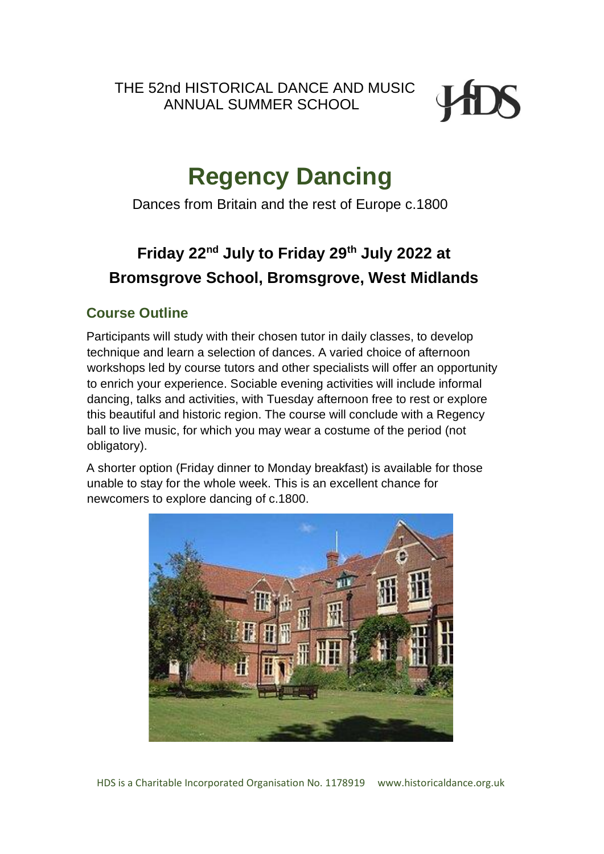THE 52nd HISTORICAL DANCE AND MUSIC ANNUAL SUMMER SCHOOL



# **Regency Dancing**

Dances from Britain and the rest of Europe c.1800

## **Friday 22nd July to Friday 29th July 2022 at Bromsgrove School, Bromsgrove, West Midlands**

## **Course Outline**

Participants will study with their chosen tutor in daily classes, to develop technique and learn a selection of dances. A varied choice of afternoon workshops led by course tutors and other specialists will offer an opportunity to enrich your experience. Sociable evening activities will include informal dancing, talks and activities, with Tuesday afternoon free to rest or explore this beautiful and historic region. The course will conclude with a Regency ball to live music, for which you may wear a costume of the period (not obligatory).

A shorter option (Friday dinner to Monday breakfast) is available for those unable to stay for the whole week. This is an excellent chance for newcomers to explore dancing of c.1800.

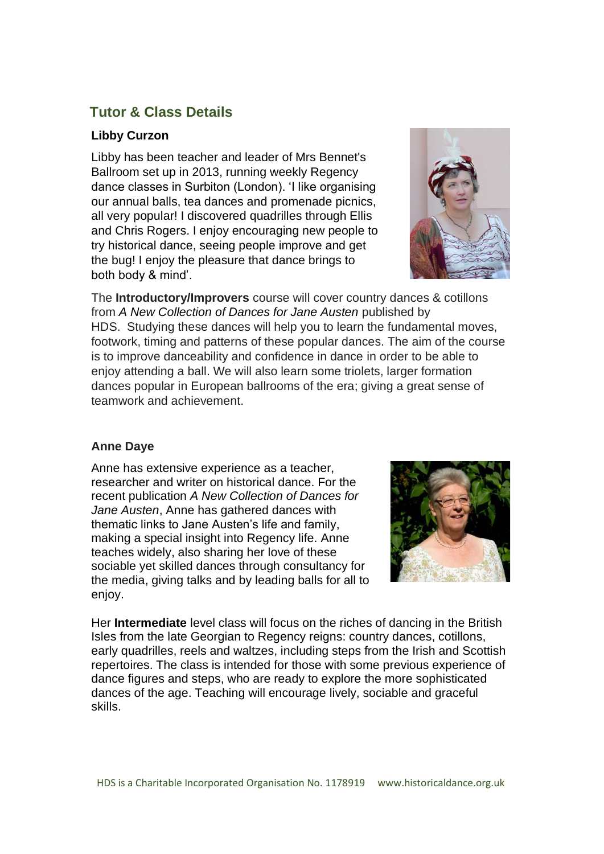## **Tutor & Class Details**

## **Libby Curzon**

Libby has been teacher and leader of Mrs Bennet's Ballroom set up in 2013, running weekly Regency dance classes in Surbiton (London). 'I like organising our annual balls, tea dances and promenade picnics, all very popular! I discovered quadrilles through Ellis and Chris Rogers. I enjoy encouraging new people to try historical dance, seeing people improve and get the bug! I enjoy the pleasure that dance brings to both body & mind'.



The **Introductory/Improvers** course will cover country dances & cotillons from *A New Collection of Dances for Jane Austen* published by HDS. Studying these dances will help you to learn the fundamental moves, footwork, timing and patterns of these popular dances. The aim of the course is to improve danceability and confidence in dance in order to be able to enjoy attending a ball. We will also learn some triolets, larger formation dances popular in European ballrooms of the era; giving a great sense of teamwork and achievement.

## **Anne Daye**

Anne has extensive experience as a teacher, researcher and writer on historical dance. For the recent publication *A New Collection of Dances for Jane Austen*, Anne has gathered dances with thematic links to Jane Austen's life and family, making a special insight into Regency life. Anne teaches widely, also sharing her love of these sociable yet skilled dances through consultancy for the media, giving talks and by leading balls for all to enjoy.



Her **Intermediate** level class will focus on the riches of dancing in the British Isles from the late Georgian to Regency reigns: country dances, cotillons, early quadrilles, reels and waltzes, including steps from the Irish and Scottish repertoires. The class is intended for those with some previous experience of dance figures and steps, who are ready to explore the more sophisticated dances of the age. Teaching will encourage lively, sociable and graceful skills.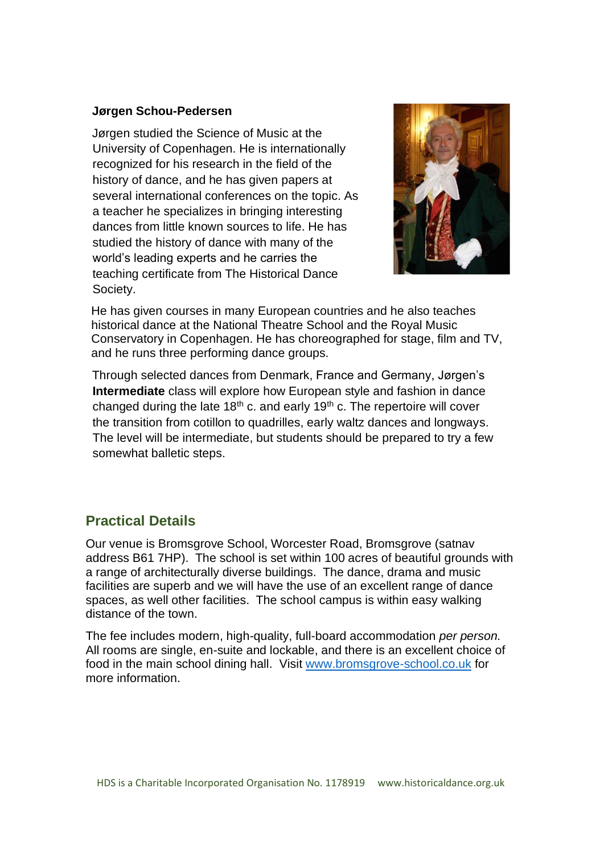#### **Jørgen Schou-Pedersen**

Jørgen studied the Science of Music at the University of Copenhagen. He is internationally recognized for his research in the field of the history of dance, and he has given papers at several international conferences on the topic. As a teacher he specializes in bringing interesting dances from little known sources to life. He has studied the history of dance with many of the world's leading experts and he carries the teaching certificate from The Historical Dance Society.



He has given courses in many European countries and he also teaches historical dance at the National Theatre School and the Royal Music Conservatory in Copenhagen. He has choreographed for stage, film and TV, and he runs three performing dance groups.

Through selected dances from Denmark, France and Germany, Jørgen's **Intermediate** class will explore how European style and fashion in dance changed during the late  $18<sup>th</sup>$  c. and early  $19<sup>th</sup>$  c. The repertoire will cover the transition from cotillon to quadrilles, early waltz dances and longways. The level will be intermediate, but students should be prepared to try a few somewhat balletic steps.

## **Practical Details**

Our venue is Bromsgrove School, Worcester Road, Bromsgrove (satnav address B61 7HP). The school is set within 100 acres of beautiful grounds with a range of architecturally diverse buildings. The dance, drama and music facilities are superb and we will have the use of an excellent range of dance spaces, as well other facilities. The school campus is within easy walking distance of the town.

The fee includes modern, high-quality, full-board accommodation *per person.*  All rooms are single, en-suite and lockable, and there is an excellent choice of food in the main school dining hall. Visit [www.bromsgrove-school.co.uk](http://www.bromsgrove-school.co.uk/) for more information.